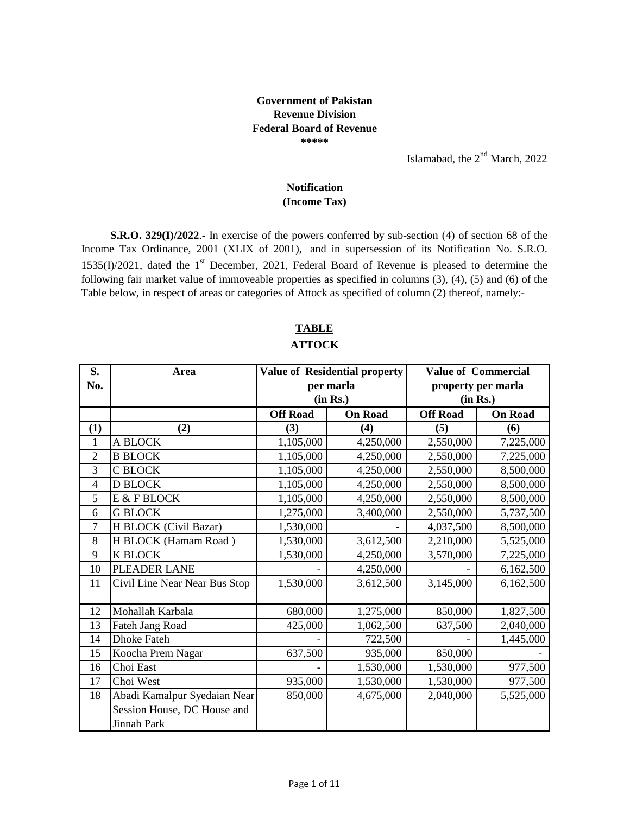## **Government of Pakistan Revenue Division Federal Board of Revenue \*\*\*\*\***

Islamabad, the 2<sup>nd</sup> March, 2022

## **(Income Tax) Notification**

**S.R.O. 329(I)/2022**.- In exercise of the powers conferred by sub-section (4) of section 68 of the Income Tax Ordinance, 2001 (XLIX of 2001), and in supersession of its Notification No. S.R.O.  $1535(I)/2021$ , dated the 1<sup>st</sup> December, 2021, Federal Board of Revenue is pleased to determine the following fair market value of immoveable properties as specified in columns (3), (4), (5) and (6) of the Table below, in respect of areas or categories of Attock as specified of column (2) thereof, namely:-

| S.             | Area                          |                 | <b>Value of Residential property</b> |                 | <b>Value of Commercial</b> |  |  |
|----------------|-------------------------------|-----------------|--------------------------------------|-----------------|----------------------------|--|--|
| No.            |                               |                 | per marla                            |                 | property per marla         |  |  |
|                |                               |                 | (in Rs.)                             |                 | (in Rs.)                   |  |  |
|                |                               | <b>Off Road</b> | <b>On Road</b>                       | <b>Off Road</b> | <b>On Road</b>             |  |  |
| (1)            | (2)                           | (3)             | (4)                                  | (5)             | (6)                        |  |  |
| $\mathbf{1}$   | A BLOCK                       | 1,105,000       | 4,250,000                            | 2,550,000       | 7,225,000                  |  |  |
| $\overline{2}$ | <b>B BLOCK</b>                | 1,105,000       | 4,250,000                            | 2,550,000       | 7,225,000                  |  |  |
| 3              | C BLOCK                       | 1,105,000       | 4,250,000                            | 2,550,000       | 8,500,000                  |  |  |
| $\overline{4}$ | <b>D BLOCK</b>                | 1,105,000       | 4,250,000                            | 2,550,000       | 8,500,000                  |  |  |
| 5              | E & F BLOCK                   | 1,105,000       | 4,250,000                            | 2,550,000       | 8,500,000                  |  |  |
| 6              | <b>G BLOCK</b>                | 1,275,000       | 3,400,000                            | 2,550,000       | 5,737,500                  |  |  |
| 7              | H BLOCK (Civil Bazar)         | 1,530,000       |                                      | 4,037,500       | 8,500,000                  |  |  |
| 8              | H BLOCK (Hamam Road)          | 1,530,000       | 3,612,500                            | 2,210,000       | 5,525,000                  |  |  |
| 9              | <b>K BLOCK</b>                | 1,530,000       | 4,250,000                            | 3,570,000       | 7,225,000                  |  |  |
| 10             | PLEADER LANE                  |                 | 4,250,000                            |                 | 6,162,500                  |  |  |
| 11             | Civil Line Near Near Bus Stop | 1,530,000       | 3,612,500                            | 3,145,000       | 6,162,500                  |  |  |
| 12             | Mohallah Karbala              | 680,000         | 1,275,000                            | 850,000         | 1,827,500                  |  |  |
| 13             | Fateh Jang Road               | 425,000         | 1,062,500                            | 637,500         | 2,040,000                  |  |  |
| 14             | <b>Dhoke Fateh</b>            |                 | 722,500                              |                 | 1,445,000                  |  |  |
| 15             | Koocha Prem Nagar             | 637,500         | 935,000                              | 850,000         |                            |  |  |
| 16             | Choi East                     |                 | 1,530,000                            | 1,530,000       | 977,500                    |  |  |
| 17             | Choi West                     | 935,000         | 1,530,000                            | 1,530,000       | 977,500                    |  |  |
| 18             | Abadi Kamalpur Syedaian Near  | 850,000         | 4,675,000                            | 2,040,000       | 5,525,000                  |  |  |
|                | Session House, DC House and   |                 |                                      |                 |                            |  |  |
|                | Jinnah Park                   |                 |                                      |                 |                            |  |  |

## **ATTOCK TABLE**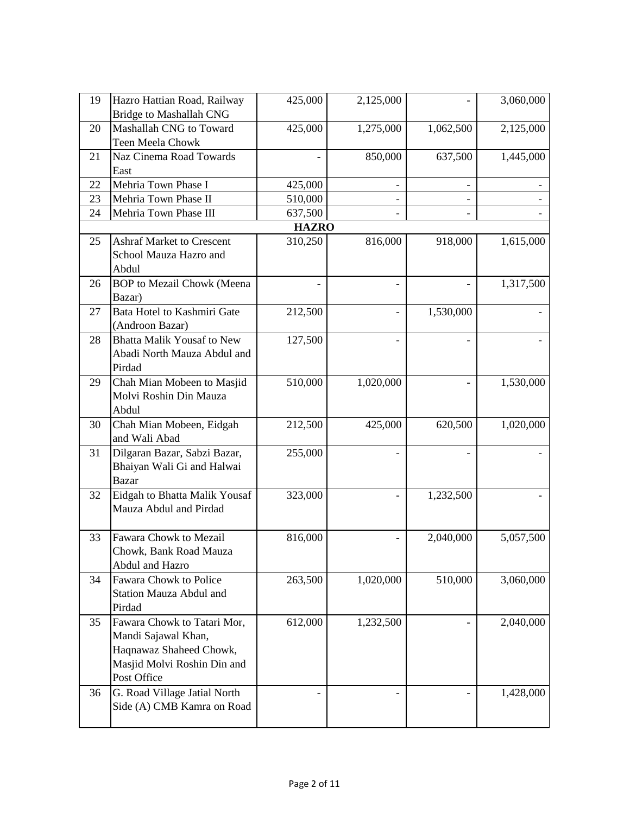| 19 | Hazro Hattian Road, Railway       | 425,000      | 2,125,000      |           | 3,060,000 |
|----|-----------------------------------|--------------|----------------|-----------|-----------|
|    | <b>Bridge to Mashallah CNG</b>    |              |                |           |           |
| 20 | Mashallah CNG to Toward           | 425,000      | 1,275,000      | 1,062,500 | 2,125,000 |
|    | Teen Meela Chowk                  |              |                |           |           |
| 21 | Naz Cinema Road Towards           |              | 850,000        | 637,500   | 1,445,000 |
|    | East                              |              |                |           |           |
| 22 | Mehria Town Phase I               | 425,000      | $\overline{a}$ |           |           |
| 23 | Mehria Town Phase II              | 510,000      |                |           |           |
| 24 | Mehria Town Phase III             | 637,500      |                |           |           |
|    |                                   | <b>HAZRO</b> |                |           |           |
| 25 | <b>Ashraf Market to Crescent</b>  | 310,250      | 816,000        | 918,000   | 1,615,000 |
|    | School Mauza Hazro and            |              |                |           |           |
|    | Abdul                             |              |                |           |           |
| 26 | <b>BOP</b> to Mezail Chowk (Meena |              |                |           | 1,317,500 |
|    | Bazar)                            |              |                |           |           |
| 27 | Bata Hotel to Kashmiri Gate       | 212,500      |                | 1,530,000 |           |
|    | (Androon Bazar)                   |              |                |           |           |
| 28 | <b>Bhatta Malik Yousaf to New</b> | 127,500      |                |           |           |
|    | Abadi North Mauza Abdul and       |              |                |           |           |
|    | Pirdad                            |              |                |           |           |
| 29 | Chah Mian Mobeen to Masjid        | 510,000      | 1,020,000      |           | 1,530,000 |
|    | Molvi Roshin Din Mauza            |              |                |           |           |
|    | Abdul                             |              |                |           |           |
| 30 | Chah Mian Mobeen, Eidgah          | 212,500      | 425,000        | 620,500   | 1,020,000 |
|    | and Wali Abad                     |              |                |           |           |
| 31 | Dilgaran Bazar, Sabzi Bazar,      | 255,000      |                |           |           |
|    | Bhaiyan Wali Gi and Halwai        |              |                |           |           |
|    | <b>Bazar</b>                      |              |                |           |           |
| 32 | Eidgah to Bhatta Malik Yousaf     | 323,000      |                | 1,232,500 |           |
|    | Mauza Abdul and Pirdad            |              |                |           |           |
|    |                                   |              |                |           |           |
| 33 | Fawara Chowk to Mezail            | 816,000      |                | 2,040,000 | 5,057,500 |
|    | Chowk, Bank Road Mauza            |              |                |           |           |
|    | Abdul and Hazro                   |              |                |           |           |
| 34 | Fawara Chowk to Police            | 263,500      | 1,020,000      | 510,000   | 3,060,000 |
|    | <b>Station Mauza Abdul and</b>    |              |                |           |           |
|    | Pirdad                            |              |                |           |           |
| 35 | Fawara Chowk to Tatari Mor,       | 612,000      | 1,232,500      |           | 2,040,000 |
|    | Mandi Sajawal Khan,               |              |                |           |           |
|    | Haqnawaz Shaheed Chowk,           |              |                |           |           |
|    | Masjid Molvi Roshin Din and       |              |                |           |           |
|    | Post Office                       |              |                |           |           |
| 36 | G. Road Village Jatial North      |              |                |           | 1,428,000 |
|    | Side (A) CMB Kamra on Road        |              |                |           |           |
|    |                                   |              |                |           |           |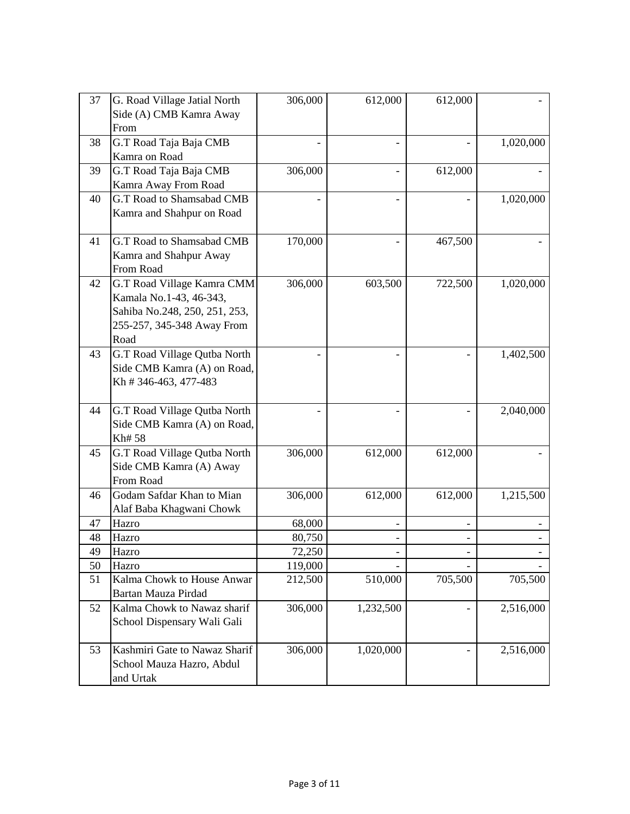| 37 | G. Road Village Jatial North  | 306,000 | 612,000   | 612,000 |           |
|----|-------------------------------|---------|-----------|---------|-----------|
|    | Side (A) CMB Kamra Away       |         |           |         |           |
|    | From                          |         |           |         |           |
| 38 | G.T Road Taja Baja CMB        |         |           |         | 1,020,000 |
|    | Kamra on Road                 |         |           |         |           |
| 39 | G.T Road Taja Baja CMB        | 306,000 |           | 612,000 |           |
|    | Kamra Away From Road          |         |           |         |           |
| 40 | G.T Road to Shamsabad CMB     |         |           |         | 1,020,000 |
|    | Kamra and Shahpur on Road     |         |           |         |           |
|    |                               |         |           |         |           |
| 41 | G.T Road to Shamsabad CMB     | 170,000 |           | 467,500 |           |
|    | Kamra and Shahpur Away        |         |           |         |           |
|    | From Road                     |         |           |         |           |
| 42 | G.T Road Village Kamra CMM    | 306,000 | 603,500   | 722,500 | 1,020,000 |
|    | Kamala No.1-43, 46-343,       |         |           |         |           |
|    | Sahiba No.248, 250, 251, 253, |         |           |         |           |
|    | 255-257, 345-348 Away From    |         |           |         |           |
|    | Road                          |         |           |         |           |
| 43 | G.T Road Village Qutba North  |         |           |         | 1,402,500 |
|    | Side CMB Kamra (A) on Road,   |         |           |         |           |
|    | Kh #346-463, 477-483          |         |           |         |           |
| 44 | G.T Road Village Qutba North  |         |           |         | 2,040,000 |
|    | Side CMB Kamra (A) on Road,   |         |           |         |           |
|    | Kh# 58                        |         |           |         |           |
| 45 | G.T Road Village Qutba North  | 306,000 | 612,000   | 612,000 |           |
|    | Side CMB Kamra (A) Away       |         |           |         |           |
|    | From Road                     |         |           |         |           |
| 46 | Godam Safdar Khan to Mian     | 306,000 | 612,000   | 612,000 | 1,215,500 |
|    | Alaf Baba Khagwani Chowk      |         |           |         |           |
| 47 | Hazro                         | 68,000  |           |         |           |
| 48 | Hazro                         | 80,750  |           |         |           |
| 49 | Hazro                         | 72,250  |           |         |           |
| 50 | Hazro                         | 119,000 |           |         |           |
| 51 | Kalma Chowk to House Anwar    | 212,500 | 510,000   | 705,500 | 705,500   |
|    | Bartan Mauza Pirdad           |         |           |         |           |
| 52 | Kalma Chowk to Nawaz sharif   | 306,000 | 1,232,500 |         | 2,516,000 |
|    | School Dispensary Wali Gali   |         |           |         |           |
| 53 | Kashmiri Gate to Nawaz Sharif | 306,000 | 1,020,000 |         | 2,516,000 |
|    | School Mauza Hazro, Abdul     |         |           |         |           |
|    | and Urtak                     |         |           |         |           |
|    |                               |         |           |         |           |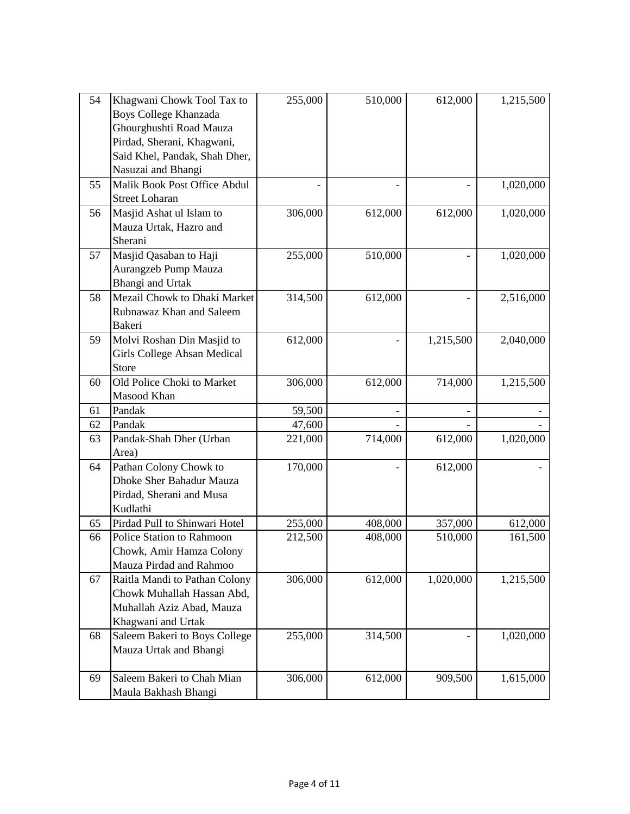| 54 | Khagwani Chowk Tool Tax to    | 255,000 | 510,000 | 612,000   | 1,215,500 |
|----|-------------------------------|---------|---------|-----------|-----------|
|    | Boys College Khanzada         |         |         |           |           |
|    | Ghourghushti Road Mauza       |         |         |           |           |
|    | Pirdad, Sherani, Khagwani,    |         |         |           |           |
|    | Said Khel, Pandak, Shah Dher, |         |         |           |           |
|    | Nasuzai and Bhangi            |         |         |           |           |
| 55 | Malik Book Post Office Abdul  |         |         |           | 1,020,000 |
|    | <b>Street Loharan</b>         |         |         |           |           |
| 56 | Masjid Ashat ul Islam to      | 306,000 | 612,000 | 612,000   | 1,020,000 |
|    | Mauza Urtak, Hazro and        |         |         |           |           |
|    | Sherani                       |         |         |           |           |
| 57 | Masjid Qasaban to Haji        | 255,000 | 510,000 |           | 1,020,000 |
|    | Aurangzeb Pump Mauza          |         |         |           |           |
|    | Bhangi and Urtak              |         |         |           |           |
| 58 | Mezail Chowk to Dhaki Market  | 314,500 | 612,000 |           | 2,516,000 |
|    | Rubnawaz Khan and Saleem      |         |         |           |           |
|    | Bakeri                        |         |         |           |           |
| 59 | Molvi Roshan Din Masjid to    | 612,000 |         | 1,215,500 | 2,040,000 |
|    | Girls College Ahsan Medical   |         |         |           |           |
|    | Store                         |         |         |           |           |
| 60 | Old Police Choki to Market    | 306,000 | 612,000 | 714,000   | 1,215,500 |
|    | Masood Khan                   |         |         |           |           |
| 61 | Pandak                        | 59,500  |         |           |           |
| 62 | Pandak                        | 47,600  |         |           |           |
| 63 | Pandak-Shah Dher (Urban       | 221,000 | 714,000 | 612,000   | 1,020,000 |
|    | Area)                         |         |         |           |           |
| 64 | Pathan Colony Chowk to        | 170,000 |         | 612,000   |           |
|    | Dhoke Sher Bahadur Mauza      |         |         |           |           |
|    | Pirdad, Sherani and Musa      |         |         |           |           |
|    | Kudlathi                      |         |         |           |           |
| 65 | Pirdad Pull to Shinwari Hotel | 255,000 | 408,000 | 357,000   | 612,000   |
| 66 | Police Station to Rahmoon     | 212,500 | 408,000 | 510,000   | 161,500   |
|    | Chowk, Amir Hamza Colony      |         |         |           |           |
|    | Mauza Pirdad and Rahmoo       |         |         |           |           |
| 67 | Raitla Mandi to Pathan Colony | 306,000 | 612,000 | 1,020,000 | 1,215,500 |
|    | Chowk Muhallah Hassan Abd,    |         |         |           |           |
|    | Muhallah Aziz Abad, Mauza     |         |         |           |           |
|    | Khagwani and Urtak            |         |         |           |           |
| 68 | Saleem Bakeri to Boys College | 255,000 | 314,500 |           | 1,020,000 |
|    | Mauza Urtak and Bhangi        |         |         |           |           |
|    |                               |         |         |           |           |
| 69 | Saleem Bakeri to Chah Mian    | 306,000 | 612,000 | 909,500   | 1,615,000 |
|    | Maula Bakhash Bhangi          |         |         |           |           |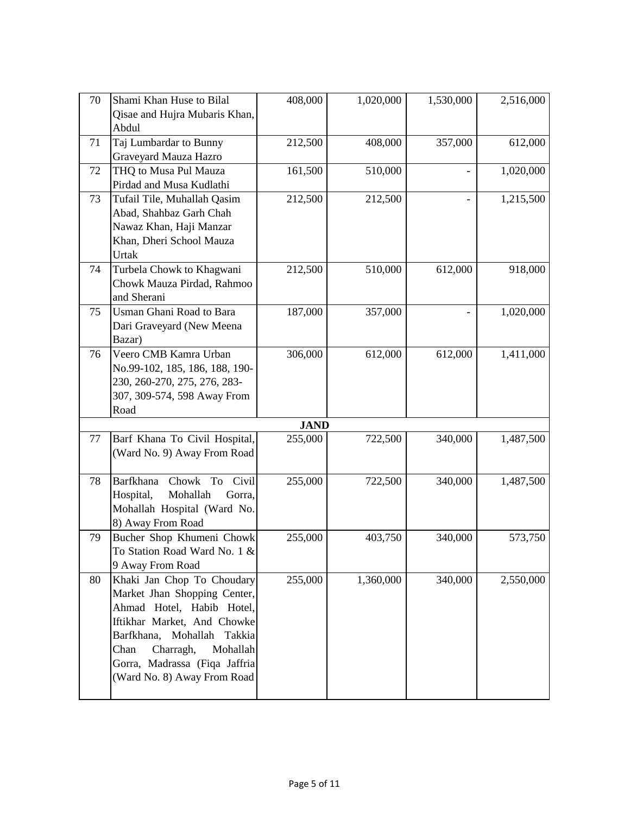| 70 | Shami Khan Huse to Bilal                 | 408,000                | 1,020,000 | 1,530,000 | 2,516,000 |
|----|------------------------------------------|------------------------|-----------|-----------|-----------|
|    | Qisae and Hujra Mubaris Khan,            |                        |           |           |           |
|    | Abdul                                    |                        |           |           |           |
| 71 | Taj Lumbardar to Bunny                   | 212,500                | 408,000   | 357,000   | 612,000   |
|    | Graveyard Mauza Hazro                    |                        |           |           |           |
| 72 | THQ to Musa Pul Mauza                    | 161,500                | 510,000   |           | 1,020,000 |
|    | Pirdad and Musa Kudlathi                 |                        |           |           |           |
| 73 | Tufail Tile, Muhallah Qasim              | 212,500                | 212,500   |           | 1,215,500 |
|    | Abad, Shahbaz Garh Chah                  |                        |           |           |           |
|    | Nawaz Khan, Haji Manzar                  |                        |           |           |           |
|    | Khan, Dheri School Mauza                 |                        |           |           |           |
|    | Urtak                                    |                        |           |           |           |
| 74 | Turbela Chowk to Khagwani                | 212,500                | 510,000   | 612,000   | 918,000   |
|    | Chowk Mauza Pirdad, Rahmoo               |                        |           |           |           |
|    | and Sherani                              |                        |           |           |           |
| 75 | Usman Ghani Road to Bara                 | 187,000                | 357,000   |           | 1,020,000 |
|    | Dari Graveyard (New Meena                |                        |           |           |           |
|    | Bazar)                                   |                        |           |           |           |
| 76 | Veero CMB Kamra Urban                    | 306,000                | 612,000   | 612,000   | 1,411,000 |
|    | No.99-102, 185, 186, 188, 190-           |                        |           |           |           |
|    | 230, 260-270, 275, 276, 283-             |                        |           |           |           |
|    | 307, 309-574, 598 Away From<br>Road      |                        |           |           |           |
|    |                                          |                        |           |           |           |
| 77 | Barf Khana To Civil Hospital,            | <b>JAND</b><br>255,000 | 722,500   | 340,000   | 1,487,500 |
|    | (Ward No. 9) Away From Road              |                        |           |           |           |
|    |                                          |                        |           |           |           |
| 78 | <b>Barfkhana</b><br>Civil<br>Chowk<br>To | 255,000                | 722,500   | 340,000   | 1,487,500 |
|    | Hospital,<br>Mohallah<br>Gorra,          |                        |           |           |           |
|    | Mohallah Hospital (Ward No.              |                        |           |           |           |
|    | 8) Away From Road                        |                        |           |           |           |
| 79 | Bucher Shop Khumeni Chowk                | 255,000                | 403,750   | 340,000   | 573,750   |
|    | To Station Road Ward No. 1 &             |                        |           |           |           |
|    | 9 Away From Road                         |                        |           |           |           |
| 80 | Khaki Jan Chop To Choudary               | 255,000                | 1,360,000 | 340,000   | 2,550,000 |
|    | Market Jhan Shopping Center,             |                        |           |           |           |
|    | Ahmad Hotel, Habib Hotel,                |                        |           |           |           |
|    | Iftikhar Market, And Chowke              |                        |           |           |           |
|    | Barfkhana,<br>Mohallah<br>Takkia         |                        |           |           |           |
|    | Chan<br>Charragh,<br>Mohallah            |                        |           |           |           |
|    | Gorra, Madrassa (Fiqa Jaffria            |                        |           |           |           |
|    | (Ward No. 8) Away From Road              |                        |           |           |           |
|    |                                          |                        |           |           |           |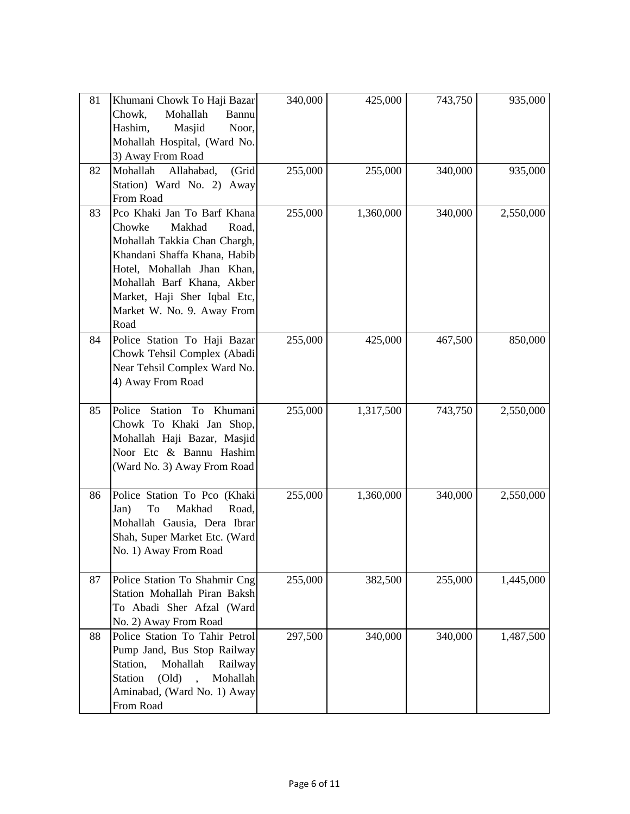| 81 | Khumani Chowk To Haji Bazar<br>Chowk,<br>Mohallah<br>Bannu<br>Hashim,<br>Masjid<br>Noor,<br>Mohallah Hospital, (Ward No.<br>3) Away From Road                                                                                                              | 340,000 | 425,000   | 743,750 | 935,000   |
|----|------------------------------------------------------------------------------------------------------------------------------------------------------------------------------------------------------------------------------------------------------------|---------|-----------|---------|-----------|
| 82 | (Grid<br>Mohallah<br>Allahabad,<br>Station) Ward No. 2) Away<br>From Road                                                                                                                                                                                  | 255,000 | 255,000   | 340,000 | 935,000   |
| 83 | Pco Khaki Jan To Barf Khana<br>Road,<br>Chowke<br>Makhad<br>Mohallah Takkia Chan Chargh,<br>Khandani Shaffa Khana, Habib<br>Hotel, Mohallah Jhan Khan,<br>Mohallah Barf Khana, Akber<br>Market, Haji Sher Iqbal Etc,<br>Market W. No. 9. Away From<br>Road | 255,000 | 1,360,000 | 340,000 | 2,550,000 |
| 84 | Police Station To Haji Bazar<br>Chowk Tehsil Complex (Abadi<br>Near Tehsil Complex Ward No.<br>4) Away From Road                                                                                                                                           | 255,000 | 425,000   | 467,500 | 850,000   |
| 85 | Police<br>Station<br>To<br>Khumani<br>Chowk To Khaki Jan Shop,<br>Mohallah Haji Bazar, Masjid<br>Noor Etc & Bannu Hashim<br>(Ward No. 3) Away From Road                                                                                                    | 255,000 | 1,317,500 | 743,750 | 2,550,000 |
| 86 | Police Station To Pco (Khaki<br>To<br>Makhad<br>Road,<br>Jan)<br>Mohallah Gausia, Dera Ibrar<br>Shah, Super Market Etc. (Ward<br>No. 1) Away From Road                                                                                                     | 255,000 | 1,360,000 | 340,000 | 2,550,000 |
| 87 | Police Station To Shahmir Cng<br>Station Mohallah Piran Baksh<br>To Abadi Sher Afzal (Ward<br>No. 2) Away From Road                                                                                                                                        | 255,000 | 382,500   | 255,000 | 1,445,000 |
| 88 | Police Station To Tahir Petrol<br>Pump Jand, Bus Stop Railway<br>Station,<br>Mohallah<br>Railway<br>$\text{(Old)}$<br><b>Station</b><br>Mohallah<br>Aminabad, (Ward No. 1) Away<br>From Road                                                               | 297,500 | 340,000   | 340,000 | 1,487,500 |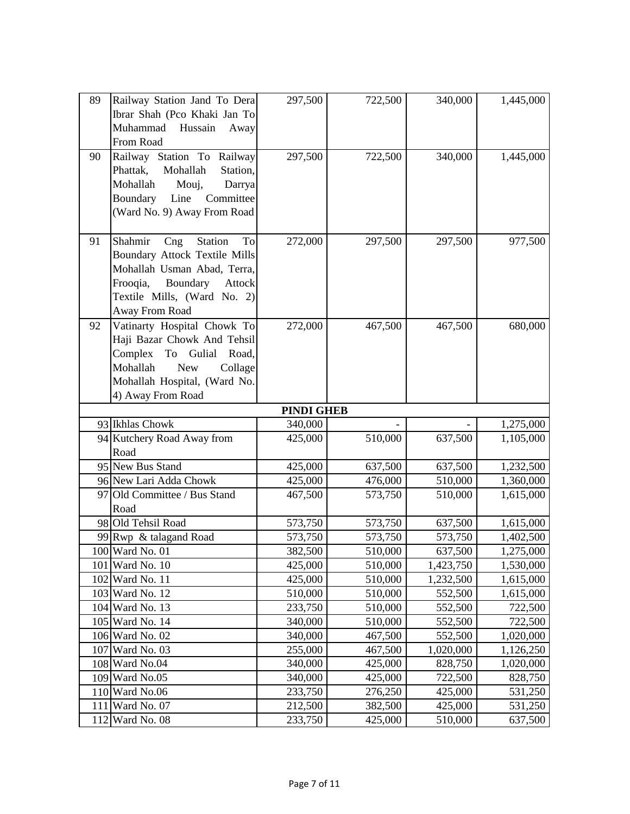| 89  | Railway Station Jand To Dera         | 297,500            | 722,500            | 340,000                | 1,445,000              |
|-----|--------------------------------------|--------------------|--------------------|------------------------|------------------------|
|     | Ibrar Shah (Pco Khaki Jan To         |                    |                    |                        |                        |
|     | Muhammad<br>Hussain<br>Away          |                    |                    |                        |                        |
|     | From Road                            |                    |                    |                        |                        |
| 90  | Railway Station To Railway           | 297,500            | 722,500            | 340,000                | 1,445,000              |
|     | Phattak,<br>Mohallah<br>Station,     |                    |                    |                        |                        |
|     | Mohallah<br>Mouj,<br>Darrya          |                    |                    |                        |                        |
|     | Boundary<br>Committee<br>Line        |                    |                    |                        |                        |
|     | (Ward No. 9) Away From Road          |                    |                    |                        |                        |
|     |                                      |                    |                    |                        |                        |
| 91  | Shahmir<br>Station<br>To<br>Cng      | 272,000            | 297,500            | 297,500                | 977,500                |
|     | <b>Boundary Attock Textile Mills</b> |                    |                    |                        |                        |
|     | Mohallah Usman Abad, Terra,          |                    |                    |                        |                        |
|     | Boundary<br>Frooqia,<br>Attock       |                    |                    |                        |                        |
|     | Textile Mills, (Ward No. 2)          |                    |                    |                        |                        |
|     | Away From Road                       |                    |                    |                        |                        |
| 92  | Vatinarty Hospital Chowk To          | 272,000            | 467,500            | 467,500                | 680,000                |
|     | Haji Bazar Chowk And Tehsil          |                    |                    |                        |                        |
|     | Gulial<br>Complex<br>To<br>Road,     |                    |                    |                        |                        |
|     | Mohallah<br><b>New</b><br>Collage    |                    |                    |                        |                        |
|     | Mohallah Hospital, (Ward No.         |                    |                    |                        |                        |
|     | 4) Away From Road                    |                    |                    |                        |                        |
|     | 93 Ikhlas Chowk                      | <b>PINDI GHEB</b>  |                    |                        |                        |
|     | 94 Kutchery Road Away from           | 340,000<br>425,000 | 510,000            | 637,500                | 1,275,000<br>1,105,000 |
|     | Road                                 |                    |                    |                        |                        |
|     | 95 New Bus Stand                     | 425,000            | 637,500            | 637,500                | 1,232,500              |
|     | 96 New Lari Adda Chowk               | 425,000            | 476,000            | 510,000                | 1,360,000              |
|     | 97 Old Committee / Bus Stand         | 467,500            | 573,750            | 510,000                | 1,615,000              |
|     | Road                                 |                    |                    |                        |                        |
|     |                                      |                    |                    |                        |                        |
|     |                                      |                    |                    |                        |                        |
|     | 98 Old Tehsil Road                   | 573,750            | 573,750            | 637,500                | 1,615,000              |
|     | 99 Rwp & talagand Road               | 573,750            | 573,750            | 573,750                | 1,402,500              |
|     | 100 Ward No. 01<br>101 Ward No. 10   | 382,500<br>425,000 | 510,000            | 637,500                | 1,275,000              |
|     | 102 Ward No. 11                      | 425,000            | 510,000<br>510,000 | 1,423,750<br>1,232,500 | 1,530,000              |
|     | 103 Ward No. 12                      | 510,000            | 510,000            | 552,500                | 1,615,000<br>1,615,000 |
|     | 104 Ward No. 13                      | 233,750            | 510,000            | 552,500                | 722,500                |
|     | 105 Ward No. 14                      | 340,000            | 510,000            | 552,500                | 722,500                |
|     | 106 Ward No. 02                      | 340,000            | 467,500            | 552,500                | 1,020,000              |
|     | 107 Ward No. 03                      | 255,000            | 467,500            | 1,020,000              | 1,126,250              |
|     | 108 Ward No.04                       | 340,000            | 425,000            | 828,750                | 1,020,000              |
|     | 109 Ward No.05                       | 340,000            | 425,000            | 722,500                | 828,750                |
|     | 110 Ward No.06                       | 233,750            | 276,250            | 425,000                | 531,250                |
| 111 | Ward No. 07<br>112 Ward No. 08       | 212,500            | 382,500            | 425,000                | 531,250                |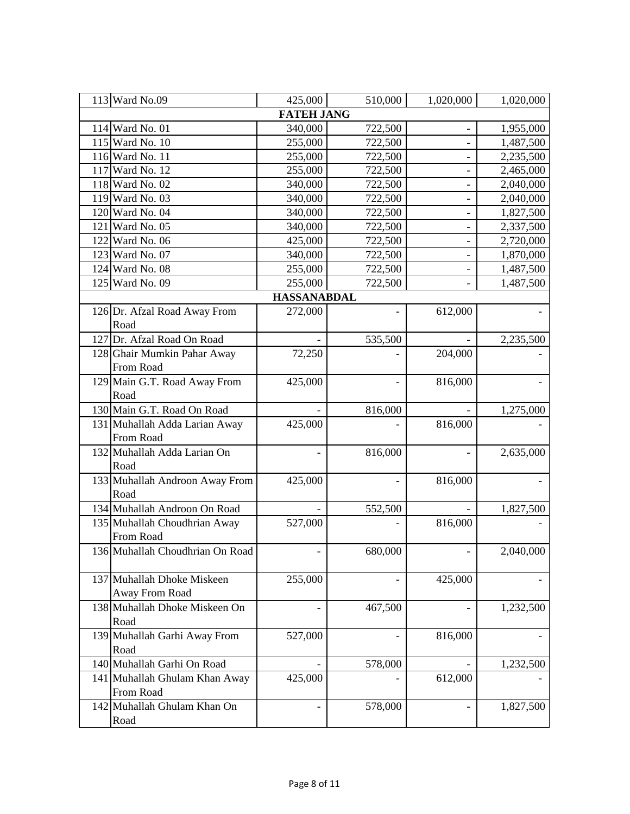| 113 Ward No.09                  | 425,000            | 510,000 | 1,020,000                | 1,020,000 |
|---------------------------------|--------------------|---------|--------------------------|-----------|
|                                 | <b>FATEH JANG</b>  |         |                          |           |
| 114 Ward No. 01                 | 340,000            | 722,500 |                          | 1,955,000 |
| 115 Ward No. 10                 | 255,000            | 722,500 |                          | 1,487,500 |
| 116 Ward No. 11                 | 255,000            | 722,500 |                          | 2,235,500 |
| 117 Ward No. 12                 | 255,000            | 722,500 |                          | 2,465,000 |
| 118 Ward No. 02                 | 340,000            | 722,500 |                          | 2,040,000 |
| 119 Ward No. 03                 | 340,000            | 722,500 |                          | 2,040,000 |
| 120 Ward No. 04                 | 340,000            | 722,500 |                          | 1,827,500 |
| 121 Ward No. 05                 | 340,000            | 722,500 |                          | 2,337,500 |
| 122 Ward No. 06                 | 425,000            | 722,500 | $\overline{\phantom{0}}$ | 2,720,000 |
| 123 Ward No. 07                 | 340,000            | 722,500 |                          | 1,870,000 |
| 124 Ward No. 08                 | 255,000            | 722,500 |                          | 1,487,500 |
| 125 Ward No. 09                 | 255,000            | 722,500 |                          | 1,487,500 |
|                                 | <b>HASSANABDAL</b> |         |                          |           |
| 126 Dr. Afzal Road Away From    | 272,000            |         | 612,000                  |           |
| Road                            |                    |         |                          |           |
| 127 Dr. Afzal Road On Road      |                    | 535,500 |                          | 2,235,500 |
| 128 Ghair Mumkin Pahar Away     | 72,250             |         | 204,000                  |           |
| From Road                       |                    |         |                          |           |
| 129 Main G.T. Road Away From    | 425,000            |         | 816,000                  |           |
| Road                            |                    |         |                          |           |
| 130 Main G.T. Road On Road      |                    | 816,000 |                          | 1,275,000 |
| 131 Muhallah Adda Larian Away   | 425,000            |         | 816,000                  |           |
| From Road                       |                    |         |                          |           |
| 132 Muhallah Adda Larian On     |                    | 816,000 |                          | 2,635,000 |
| Road                            |                    |         |                          |           |
| 133 Muhallah Androon Away From  | 425,000            |         | 816,000                  |           |
| Road                            |                    |         |                          |           |
| 134 Muhallah Androon On Road    |                    | 552,500 |                          | 1,827,500 |
| 135 Muhallah Choudhrian Away    | 527,000            |         | 816,000                  |           |
| From Road                       |                    |         |                          |           |
| 136 Muhallah Choudhrian On Road |                    | 680,000 |                          | 2,040,000 |
|                                 |                    |         |                          |           |
| 137 Muhallah Dhoke Miskeen      | 255,000            |         | 425,000                  |           |
| Away From Road                  |                    |         |                          |           |
| 138 Muhallah Dhoke Miskeen On   |                    | 467,500 |                          | 1,232,500 |
| Road                            |                    |         |                          |           |
| 139 Muhallah Garhi Away From    | 527,000            |         | 816,000                  |           |
| Road                            |                    |         |                          |           |
| 140 Muhallah Garhi On Road      |                    | 578,000 |                          | 1,232,500 |
| 141 Muhallah Ghulam Khan Away   | 425,000            |         | 612,000                  |           |
| From Road                       |                    |         |                          |           |
| 142 Muhallah Ghulam Khan On     |                    | 578,000 |                          | 1,827,500 |
| Road                            |                    |         |                          |           |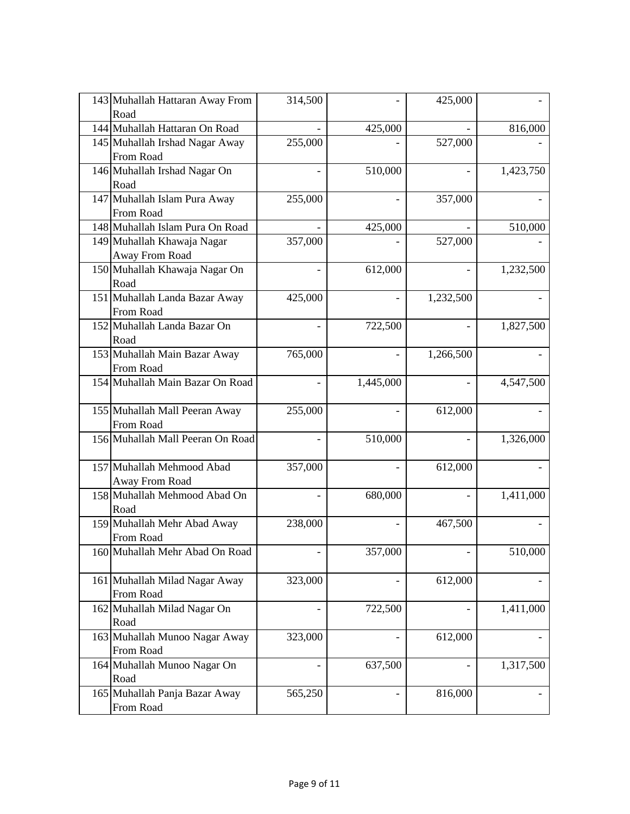| 143 Muhallah Hattaran Away From<br>Road | 314,500                  |           | 425,000   |           |
|-----------------------------------------|--------------------------|-----------|-----------|-----------|
| 144 Muhallah Hattaran On Road           |                          | 425,000   |           | 816,000   |
| 145 Muhallah Irshad Nagar Away          | 255,000                  |           | 527,000   |           |
| From Road                               |                          |           |           |           |
| 146 Muhallah Irshad Nagar On            |                          | 510,000   |           | 1,423,750 |
| Road                                    |                          |           |           |           |
| 147 Muhallah Islam Pura Away            | 255,000                  |           | 357,000   |           |
| From Road                               |                          |           |           |           |
| 148 Muhallah Islam Pura On Road         |                          | 425,000   |           | 510,000   |
| 149 Muhallah Khawaja Nagar              | 357,000                  |           | 527,000   |           |
| Away From Road                          |                          |           |           |           |
| 150 Muhallah Khawaja Nagar On           |                          | 612,000   |           | 1,232,500 |
| Road                                    |                          |           |           |           |
| 151 Muhallah Landa Bazar Away           | 425,000                  |           | 1,232,500 |           |
| From Road                               |                          |           |           |           |
| 152 Muhallah Landa Bazar On             |                          | 722,500   |           | 1,827,500 |
| Road                                    |                          |           |           |           |
| 153 Muhallah Main Bazar Away            | 765,000                  |           | 1,266,500 |           |
| From Road                               |                          |           |           |           |
| 154 Muhallah Main Bazar On Road         |                          | 1,445,000 |           | 4,547,500 |
| 155 Muhallah Mall Peeran Away           | 255,000                  |           | 612,000   |           |
| From Road                               |                          |           |           |           |
| 156 Muhallah Mall Peeran On Road        | $\overline{\phantom{0}}$ | 510,000   |           | 1,326,000 |
| 157 Muhallah Mehmood Abad               | 357,000                  |           | 612,000   |           |
| Away From Road                          |                          |           |           |           |
| 158 Muhallah Mehmood Abad On            |                          | 680,000   |           | 1,411,000 |
| Road                                    |                          |           |           |           |
| 159 Muhallah Mehr Abad Away             | 238,000                  |           | 467,500   |           |
| From Road                               |                          |           |           |           |
| 160 Muhallah Mehr Abad On Road          |                          | 357,000   |           | 510,000   |
|                                         |                          |           |           |           |
| 161 Muhallah Milad Nagar Away           | 323,000                  |           | 612,000   |           |
| From Road                               |                          |           |           |           |
| 162 Muhallah Milad Nagar On             |                          | 722,500   |           | 1,411,000 |
| Road                                    |                          |           |           |           |
| 163 Muhallah Munoo Nagar Away           | 323,000                  |           | 612,000   |           |
| From Road                               |                          |           |           |           |
| 164 Muhallah Munoo Nagar On             |                          | 637,500   |           | 1,317,500 |
| Road                                    |                          |           |           |           |
| 165 Muhallah Panja Bazar Away           | 565,250                  |           | 816,000   |           |
| From Road                               |                          |           |           |           |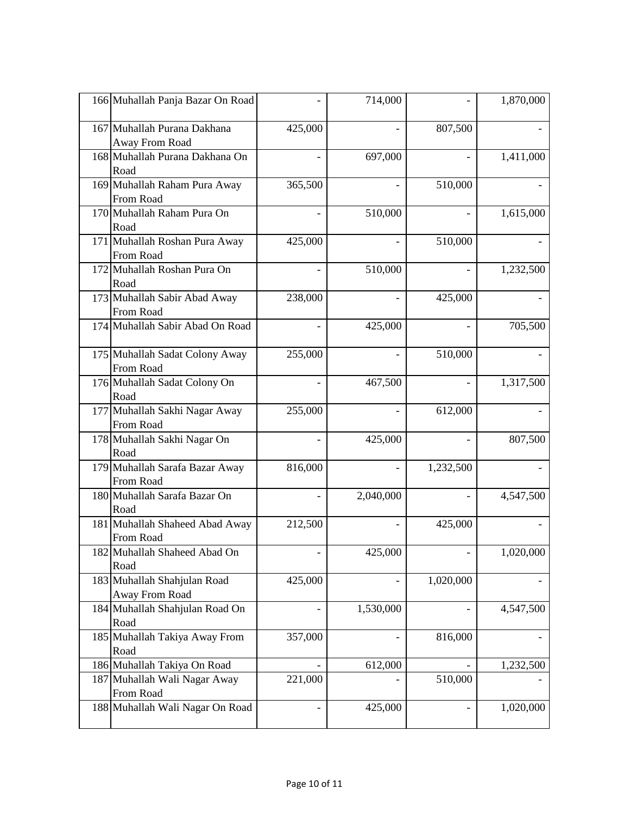| 166 Muhallah Panja Bazar On Road              |         | 714,000   |           | 1,870,000 |
|-----------------------------------------------|---------|-----------|-----------|-----------|
| 167 Muhallah Purana Dakhana<br>Away From Road | 425,000 |           | 807,500   |           |
| 168 Muhallah Purana Dakhana On<br>Road        |         | 697,000   |           | 1,411,000 |
| 169 Muhallah Raham Pura Away<br>From Road     | 365,500 |           | 510,000   |           |
| 170 Muhallah Raham Pura On<br>Road            |         | 510,000   |           | 1,615,000 |
| 171 Muhallah Roshan Pura Away<br>From Road    | 425,000 |           | 510,000   |           |
| 172 Muhallah Roshan Pura On<br>Road           |         | 510,000   |           | 1,232,500 |
| 173 Muhallah Sabir Abad Away<br>From Road     | 238,000 |           | 425,000   |           |
| 174 Muhallah Sabir Abad On Road               |         | 425,000   |           | 705,500   |
| 175 Muhallah Sadat Colony Away<br>From Road   | 255,000 |           | 510,000   |           |
| 176 Muhallah Sadat Colony On<br>Road          |         | 467,500   |           | 1,317,500 |
| 177 Muhallah Sakhi Nagar Away<br>From Road    | 255,000 |           | 612,000   |           |
| 178 Muhallah Sakhi Nagar On<br>Road           |         | 425,000   |           | 807,500   |
| 179 Muhallah Sarafa Bazar Away<br>From Road   | 816,000 |           | 1,232,500 |           |
| 180 Muhallah Sarafa Bazar On<br>Road          |         | 2,040,000 |           | 4,547,500 |
| 181 Muhallah Shaheed Abad Away<br>From Road   | 212,500 |           | 425,000   |           |
| 182 Muhallah Shaheed Abad On<br>Road          |         | 425,000   |           | 1,020,000 |
| 183 Muhallah Shahjulan Road<br>Away From Road | 425,000 |           | 1,020,000 |           |
| 184 Muhallah Shahjulan Road On<br>Road        |         | 1,530,000 |           | 4,547,500 |
| 185 Muhallah Takiya Away From<br>Road         | 357,000 |           | 816,000   |           |
| 186 Muhallah Takiya On Road                   |         | 612,000   |           | 1,232,500 |
| 187 Muhallah Wali Nagar Away<br>From Road     | 221,000 |           | 510,000   |           |
| 188 Muhallah Wali Nagar On Road               |         | 425,000   |           | 1,020,000 |